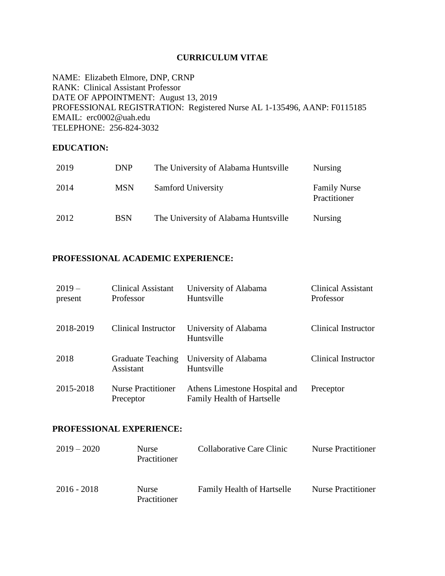#### **CURRICULUM VITAE**

NAME: Elizabeth Elmore, DNP, CRNP RANK: Clinical Assistant Professor DATE OF APPOINTMENT: August 13, 2019 PROFESSIONAL REGISTRATION: Registered Nurse AL 1-135496, AANP: F0115185 EMAIL: erc0002@uah.edu TELEPHONE: 256-824-3032

#### **EDUCATION:**

| 2019 | <b>DNP</b> | The University of Alabama Huntsville | <b>Nursing</b>                      |
|------|------------|--------------------------------------|-------------------------------------|
| 2014 | <b>MSN</b> | Samford University                   | <b>Family Nurse</b><br>Practitioner |
| 2012 | <b>BSN</b> | The University of Alabama Huntsville | <b>Nursing</b>                      |

### **PROFESSIONAL ACADEMIC EXPERIENCE:**

| $2019-$<br>present | <b>Clinical Assistant</b><br>Professor | University of Alabama<br>Huntsville                                | <b>Clinical Assistant</b><br>Professor |
|--------------------|----------------------------------------|--------------------------------------------------------------------|----------------------------------------|
| 2018-2019          | Clinical Instructor                    | University of Alabama<br>Huntsville                                | Clinical Instructor                    |
| 2018               | <b>Graduate Teaching</b><br>Assistant  | University of Alabama<br>Huntsville                                | Clinical Instructor                    |
| 2015-2018          | <b>Nurse Practitioner</b><br>Preceptor | Athens Limestone Hospital and<br><b>Family Health of Hartselle</b> | Preceptor                              |

#### **PROFESSIONAL EXPERIENCE:**

| $2019 - 2020$ | <b>Nurse</b><br>Practitioner | Collaborative Care Clinic         | <b>Nurse Practitioner</b> |
|---------------|------------------------------|-----------------------------------|---------------------------|
| $2016 - 2018$ | Nurse<br>Practitioner        | <b>Family Health of Hartselle</b> | <b>Nurse Practitioner</b> |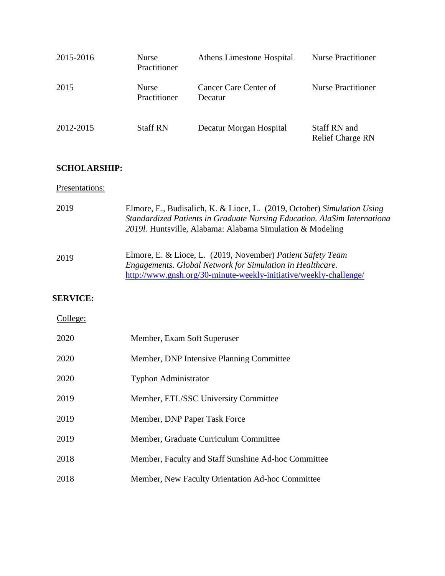| 2015-2016 | <b>Nurse</b><br>Practitioner | Athens Limestone Hospital        | <b>Nurse Practitioner</b>               |
|-----------|------------------------------|----------------------------------|-----------------------------------------|
| 2015      | <b>Nurse</b><br>Practitioner | Cancer Care Center of<br>Decatur | <b>Nurse Practitioner</b>               |
| 2012-2015 | <b>Staff RN</b>              | Decatur Morgan Hospital          | Staff RN and<br><b>Relief Charge RN</b> |

## **SCHOLARSHIP:**

### Presentations:

| 2019            | Elmore, E., Budisalich, K. & Lioce, L. (2019, October) Simulation Using<br>Standardized Patients in Graduate Nursing Education. AlaSim Internationa<br>2019l. Huntsville, Alabama: Alabama Simulation & Modeling |
|-----------------|------------------------------------------------------------------------------------------------------------------------------------------------------------------------------------------------------------------|
| 2019            | Elmore, E. & Lioce, L. (2019, November) Patient Safety Team<br>Engagements. Global Network for Simulation in Healthcare.<br>http://www.gnsh.org/30-minute-weekly-initiative/weekly-challenge/                    |
| <b>SERVICE:</b> |                                                                                                                                                                                                                  |
| College:        |                                                                                                                                                                                                                  |
| 2020            | Member, Exam Soft Superuser                                                                                                                                                                                      |
| 2020            | Member, DNP Intensive Planning Committee                                                                                                                                                                         |
| 2020            | <b>Typhon Administrator</b>                                                                                                                                                                                      |
| 2019            | Member, ETL/SSC University Committee                                                                                                                                                                             |
| 2019            | Member, DNP Paper Task Force                                                                                                                                                                                     |
| 2019            | Member, Graduate Curriculum Committee                                                                                                                                                                            |
| 2018            | Member, Faculty and Staff Sunshine Ad-hoc Committee                                                                                                                                                              |
| 2018            | Member, New Faculty Orientation Ad-hoc Committee                                                                                                                                                                 |